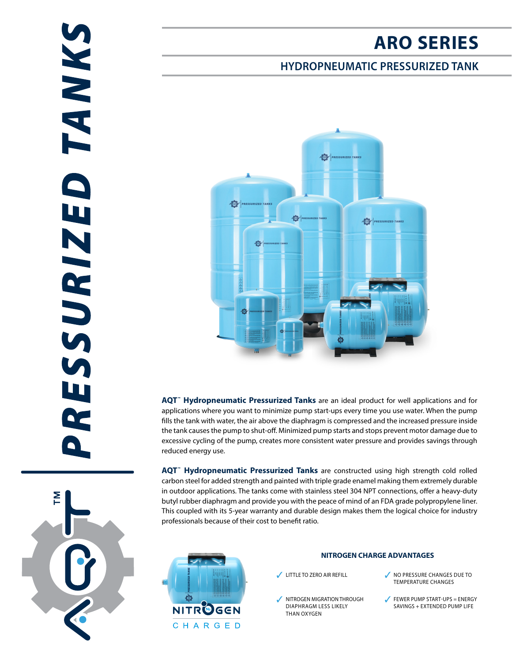# **ARO SERIES**

## **HYDROPNEUMATIC PRESSURIZED TANK**



**AQT™ Hydropneumatic Pressurized Tanks** are an ideal product for well applications and for applications where you want to minimize pump start-ups every time you use water. When the pump fills the tank with water, the air above the diaphragm is compressed and the increased pressure inside the tank causes the pump to shut-off. Minimized pump starts and stops prevent motor damage due to excessive cycling of the pump, creates more consistent water pressure and provides savings through reduced energy use.

**AQT™ Hydropneumatic Pressurized Tanks** are constructed using high strength cold rolled carbon steel for added strength and painted with triple grade enamel making them extremely durable in outdoor applications. The tanks come with stainless steel 304 NPT connections, offer a heavy-duty butyl rubber diaphragm and provide you with the peace of mind of an FDA grade polypropylene liner. This coupled with its 5-year warranty and durable design makes them the logical choice for industry professionals because of their cost to benefit ratio.



#### **NITROGEN CHARGE ADVANTAGES**

- NITROGEN MIGRATION THROUGH DIAPHRAGM LESS LIKELY THAN OXYGEN
- √ LITTLE TO ZERO AIR REFILL V NO PRESSURE CHANGES DUE TO TEMPERATURE CHANGES
	- $\sqrt{\phantom{a}}$  FEWER PUMP START-UPS = ENERGY SAVINGS + EXTENDED PUMP LIFE

**TANKS** RESSURIZED

 $\sum_{i=1}^{n}$